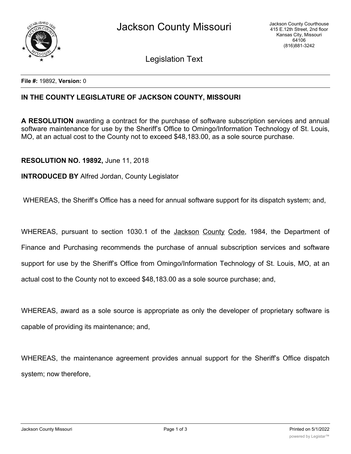

Legislation Text

**File #:** 19892, **Version:** 0

## **IN THE COUNTY LEGISLATURE OF JACKSON COUNTY, MISSOURI**

**A RESOLUTION** awarding a contract for the purchase of software subscription services and annual software maintenance for use by the Sheriff's Office to Omingo/Information Technology of St. Louis, MO, at an actual cost to the County not to exceed \$48,183.00, as a sole source purchase.

## **RESOLUTION NO. 19892,** June 11, 2018

## **INTRODUCED BY** Alfred Jordan, County Legislator

WHEREAS, the Sheriff's Office has a need for annual software support for its dispatch system; and,

WHEREAS, pursuant to section 1030.1 of the Jackson County Code, 1984, the Department of Finance and Purchasing recommends the purchase of annual subscription services and software support for use by the Sheriff's Office from Omingo/Information Technology of St. Louis, MO, at an actual cost to the County not to exceed \$48,183.00 as a sole source purchase; and,

WHEREAS, award as a sole source is appropriate as only the developer of proprietary software is capable of providing its maintenance; and,

WHEREAS, the maintenance agreement provides annual support for the Sheriff's Office dispatch system; now therefore,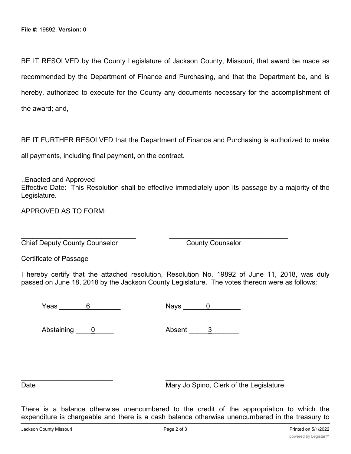BE IT RESOLVED by the County Legislature of Jackson County, Missouri, that award be made as recommended by the Department of Finance and Purchasing, and that the Department be, and is hereby, authorized to execute for the County any documents necessary for the accomplishment of the award; and,

BE IT FURTHER RESOLVED that the Department of Finance and Purchasing is authorized to make

all payments, including final payment, on the contract.

..Enacted and Approved Effective Date: This Resolution shall be effective immediately upon its passage by a majority of the

APPROVED AS TO FORM:

Legislature.

Chief Deputy County Counselor County Counselor

Certificate of Passage

I hereby certify that the attached resolution, Resolution No. 19892 of June 11, 2018, was duly passed on June 18, 2018 by the Jackson County Legislature. The votes thereon were as follows:

 $\overline{\phantom{a}}$  , and the contribution of the contribution of  $\overline{\phantom{a}}$  , and  $\overline{\phantom{a}}$  , and  $\overline{\phantom{a}}$  , and  $\overline{\phantom{a}}$  , and  $\overline{\phantom{a}}$  , and  $\overline{\phantom{a}}$  , and  $\overline{\phantom{a}}$  , and  $\overline{\phantom{a}}$  , and  $\overline{\phantom{a}}$  , and

 $Ye$ as  $\overline{6}$   $Nays$   $\overline{0}$ 

Abstaining 0 Absent 3

Date **Date** Mary Jo Spino, Clerk of the Legislature

There is a balance otherwise unencumbered to the credit of the appropriation to which the expenditure is chargeable and there is a cash balance otherwise unencumbered in the treasury to

\_\_\_\_\_\_\_\_\_\_\_\_\_\_\_\_\_\_\_\_\_\_\_\_ \_\_\_\_\_\_\_\_\_\_\_\_\_\_\_\_\_\_\_\_\_\_\_\_\_\_\_\_\_\_\_